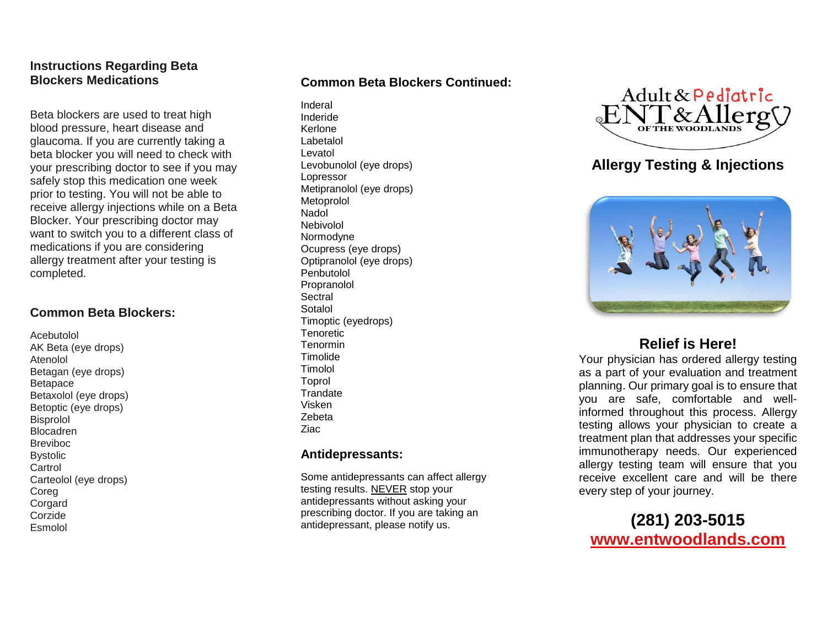## **Instructions Regarding Beta Blockers Medications**

Beta blockers are used to treat high blood pressure, heart disease and glaucoma. If you are currently taking a beta blocker you will need to check with your prescribing doctor to see if you may safely stop this medication one week prior to testing. You will not be able to receive allergy injections while on a Beta Blocker. Your prescribing doctor may want to switch you to a different class of medications if you are considering allergy treatment after your testing is completed.

### **Common Beta Blockers:**

Acebutolol AK Beta (eye drops) Atenolol Betagan (eye drops) Betapace Betaxolol (eye drops) Betoptic (eye drops) Bisprolol Blocadren Breviboc **Bystolic** Cartrol Carteolol (eye drops) Coreg Corgard Corzide Esmolol

## **Common Beta Blockers Continued:**

Inderal Inderide Kerlone Labetalol Levatol Levobunolol (eye drops) Lopressor Metipranolol (eye drops) Metoprolol Nadol Nebivolol Normodyne Ocupress (eye drops) Optipranolol (eye drops) Penbutolol Propranolol **Sectral** Sotalol Timoptic (eyedrops) **Tenoretic** Tenormin **Timolide** Timolol Toprol **Trandate** Visken Zebeta Ziac

### **Antidepressants:**

Some antidepressants can affect allergy testing results. NEVER stop your antidepressants without asking your prescribing doctor. If you are taking an antidepressant, please notify us.



# **Allergy Testing & Injections**



## **Relief is Here!**

Your physician has ordered allergy testing as a part of your evaluation and treatment planning. Our primary goal is to ensure that you are safe, comfortable and wellinformed throughout this process. Allergy testing allows your physician to create a treatment plan that addresses your specific immunotherapy needs. Our experienced allergy testing team will ensure that you receive excellent care and will be there every step of your journey.

# **(281) 203-5015 [www.entwoodlands.com](http://www.entwoodlands.com/)**